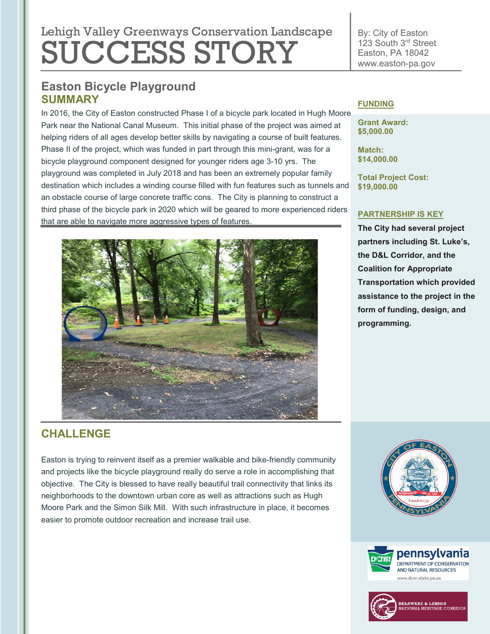# Lehigh Valley Greenways Conservation Landscape SUCCESS STORY

# **Easton Bicycle Playground SUMMARY**

In 2016, the City of Easton constructed Phase I of a bicycle park located in Hugh Moore Park near the National Canal Museum. This initial phase of the project was aimed at helping riders of all ages develop better skills by navigating a course of built features. Phase II of the project, which was funded in part through this mini-grant, was for a bicycle playground component designed for younger riders age 3-10 yrs. The playground was completed in July 2018 and has been an extremely popular family destination which includes a winding course filled with fun features such as tunnels and an obstacle course of large concrete traffic cons. The City is planning to construct a third phase of the bicycle park in 2020 which will be geared to more experienced riders that are able to navigate more aggressive types of features.



#### By: City of Easton 123 South 3rd Street Easton, PA 18042 www.easton-pa.gov

### **FUNDING**

**Grant Award: \$5,000.00**

**Match: \$14,000.00**

**Total Project Cost: \$19,000.00**

### **PARTNERSHIP IS KEY**

**The City had several project partners including St. Luke's, the D&L Corridor, and the Coalition for Appropriate Transportation which provided assistance to the project in the form of funding, design, and programming.** 

# **CHALLENGE**

Easton is trying to reinvent itself as a premier walkable and bike-friendly community and projects like the bicycle playground really do serve a role in accomplishing that objective. The City is blessed to have really beautiful trail connectivity that links its neighborhoods to the downtown urban core as well as attractions such as Hugh Moore Park and the Simon Silk Mill. With such infrastructure in place, it becomes easier to promote outdoor recreation and increase trail use.